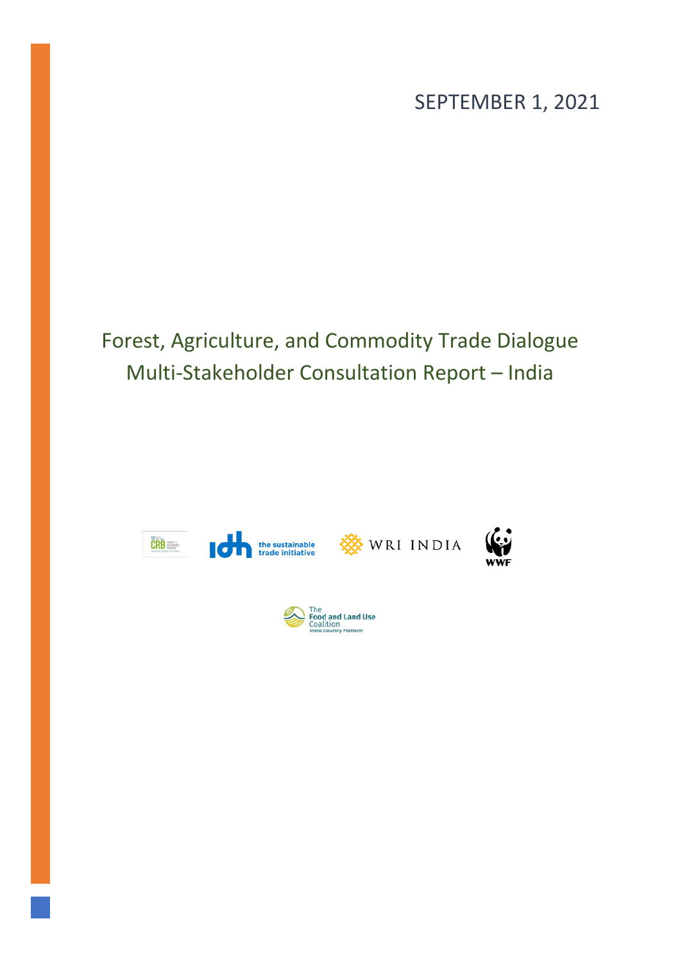SEPTEMBER 1, 2021

# Forest, Agriculture, and Commodity Trade Dialogue Multi-Stakeholder Consultation Report – India

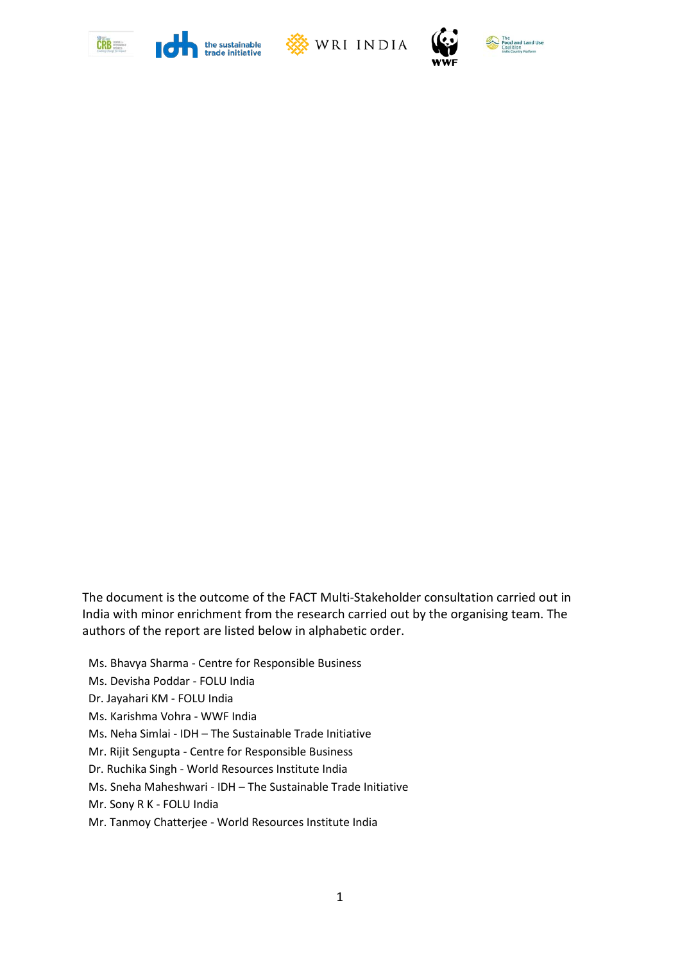







The document is the outcome of the FACT Multi-Stakeholder consultation carried out in India with minor enrichment from the research carried out by the organising team. The authors of the report are listed below in alphabetic order.

- Ms. Bhavya Sharma Centre for Responsible Business
- Ms. Devisha Poddar FOLU India
- Dr. Jayahari KM FOLU India
- Ms. Karishma Vohra WWF India
- Ms. Neha Simlai IDH The Sustainable Trade Initiative
- Mr. Rijit Sengupta Centre for Responsible Business
- Dr. Ruchika Singh World Resources Institute India
- Ms. Sneha Maheshwari IDH The Sustainable Trade Initiative
- Mr. Sony R K FOLU India
- Mr. Tanmoy Chatterjee World Resources Institute India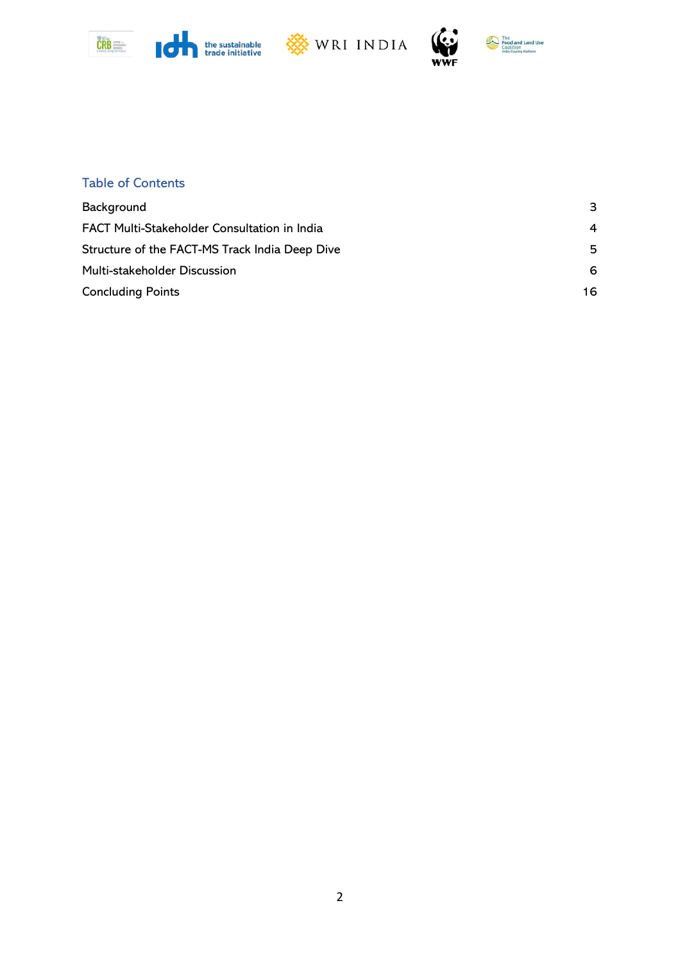







 $\mathbf \Omega$ ۷Ŵ

# Table of Contents

<span id="page-2-0"></span>

| Background                                     | З  |
|------------------------------------------------|----|
| FACT Multi-Stakeholder Consultation in India   | 4  |
| Structure of the FACT-MS Track India Deep Dive | 5  |
| Multi-stakeholder Discussion                   | 6  |
| <b>Concluding Points</b>                       | 16 |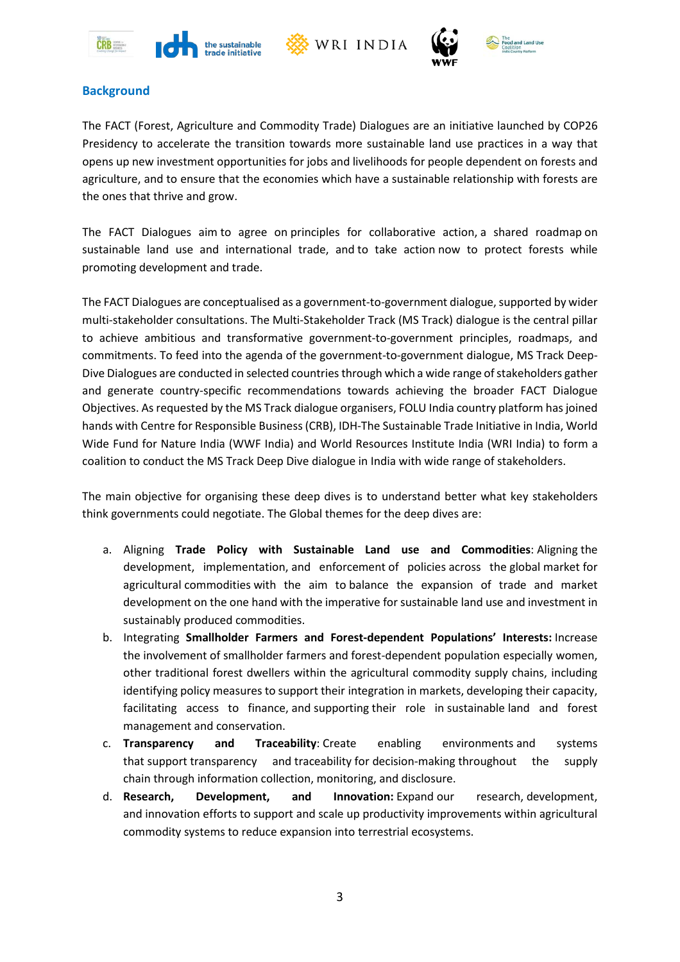







## **Background**

The FACT (Forest, Agriculture and Commodity Trade) Dialogues are an initiative launched by COP26 Presidency to accelerate the transition towards more sustainable land use practices in a way that opens up new investment opportunities for jobs and livelihoods for people dependent on forests and agriculture, and to ensure that the economies which have a sustainable relationship with forests are the ones that thrive and grow.

The FACT Dialogues aim to agree on principles for collaborative action, a shared roadmap on sustainable land use and international trade, and to take action now to protect forests while promoting development and trade.

The FACT Dialogues are conceptualised as a government-to-government dialogue, supported by wider multi-stakeholder consultations. The Multi-Stakeholder Track (MS Track) dialogue is the central pillar to achieve ambitious and transformative government-to-government principles, roadmaps, and commitments. To feed into the agenda of the government-to-government dialogue, MS Track Deep-Dive Dialogues are conducted in selected countries through which a wide range of stakeholders gather and generate country-specific recommendations towards achieving the broader FACT Dialogue Objectives. As requested by the MS Track dialogue organisers, FOLU India country platform has joined hands with Centre for Responsible Business (CRB), IDH-The Sustainable Trade Initiative in India, World Wide Fund for Nature India (WWF India) and World Resources Institute India (WRI India) to form a coalition to conduct the MS Track Deep Dive dialogue in India with wide range of stakeholders.

The main objective for organising these deep dives is to understand better what key stakeholders think governments could negotiate. The Global themes for the deep dives are:

- a. Aligning **Trade Policy with Sustainable Land use and Commodities**: Aligning the development, implementation, and enforcement of policies across the global market for agricultural commodities with the aim to balance the expansion of trade and market development on the one hand with the imperative for sustainable land use and investment in sustainably produced commodities.
- b. Integrating **Smallholder Farmers and Forest-dependent Populations' Interests:** Increase the involvement of smallholder farmers and forest-dependent population especially women, other traditional forest dwellers within the agricultural commodity supply chains, including identifying policy measures to support their integration in markets, developing their capacity, facilitating access to finance, and supporting their role in sustainable land and forest management and conservation.
- c. **Transparency and Traceability**: Create enabling environments and systems that support transparency and traceability for decision-making throughout the supply chain through information collection, monitoring, and disclosure.
- <span id="page-3-0"></span>d. **Research, Development, and Innovation:** Expand our research, development, and innovation efforts to support and scale up productivity improvements within agricultural commodity systems to reduce expansion into terrestrial ecosystems.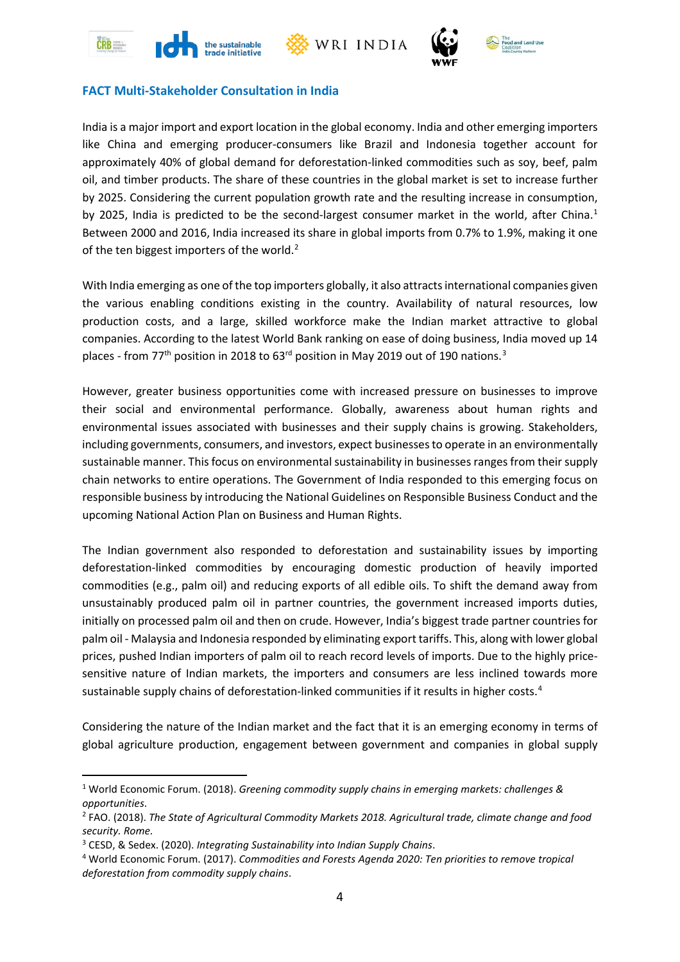







## **FACT Multi-Stakeholder Consultation in India**

India is a major import and export location in the global economy. India and other emerging importers like China and emerging producer-consumers like Brazil and Indonesia together account for approximately 40% of global demand for deforestation-linked commodities such as soy, beef, palm oil, and timber products. The share of these countries in the global market is set to increase further by 2025. Considering the current population growth rate and the resulting increase in consumption, by 2025, India is predicted to be the second-largest consumer market in the world, after China.<sup>[1](#page-4-0)</sup> Between 2000 and 2016, India increased its share in global imports from 0.7% to 1.9%, making it one of the ten biggest importers of the world. $^2$  $^2$ 

With India emerging as one of the top importers globally, it also attracts international companies given the various enabling conditions existing in the country. Availability of natural resources, low production costs, and a large, skilled workforce make the Indian market attractive to global companies. According to the latest World Bank ranking on ease of doing business, India moved up 14 places - from 77<sup>th</sup> position in 2018 to 6[3](#page-4-2)<sup>rd</sup> position in May 2019 out of 190 nations.  $^3$ 

However, greater business opportunities come with increased pressure on businesses to improve their social and environmental performance. Globally, awareness about human rights and environmental issues associated with businesses and their supply chains is growing. Stakeholders, including governments, consumers, and investors, expect businesses to operate in an environmentally sustainable manner. This focus on environmental sustainability in businesses ranges from their supply chain networks to entire operations. The Government of India responded to this emerging focus on responsible business by introducing the National Guidelines on Responsible Business Conduct and the upcoming National Action Plan on Business and Human Rights.

The Indian government also responded to deforestation and sustainability issues by importing deforestation-linked commodities by encouraging domestic production of heavily imported commodities (e.g., palm oil) and reducing exports of all edible oils. To shift the demand away from unsustainably produced palm oil in partner countries, the government increased imports duties, initially on processed palm oil and then on crude. However, India's biggest trade partner countries for palm oil - Malaysia and Indonesia responded by eliminating export tariffs. This, along with lower global prices, pushed Indian importers of palm oil to reach record levels of imports. Due to the highly pricesensitive nature of Indian markets, the importers and consumers are less inclined towards more sustainable supply chains of deforestation-linked communities if it results in higher costs. [4](#page-4-3)

Considering the nature of the Indian market and the fact that it is an emerging economy in terms of global agriculture production, engagement between government and companies in global supply

<span id="page-4-0"></span><sup>1</sup> World Economic Forum. (2018). *Greening commodity supply chains in emerging markets: challenges & opportunities*.

<span id="page-4-1"></span><sup>2</sup> FAO. (2018). *The State of Agricultural Commodity Markets 2018. Agricultural trade, climate change and food security. Rome.*

<span id="page-4-3"></span><span id="page-4-2"></span><sup>3</sup> CESD, & Sedex. (2020). *Integrating Sustainability into Indian Supply Chains*. 4 World Economic Forum. (2017). *Commodities and Forests Agenda 2020: Ten priorities to remove tropical deforestation from commodity supply chains*.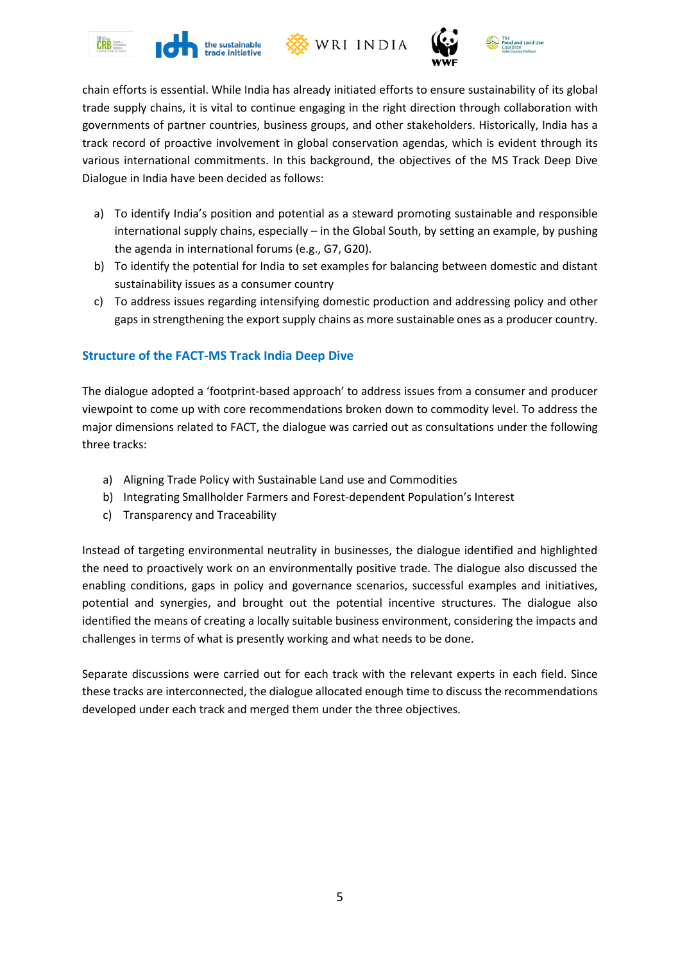







chain efforts is essential. While India has already initiated efforts to ensure sustainability of its global trade supply chains, it is vital to continue engaging in the right direction through collaboration with governments of partner countries, business groups, and other stakeholders. Historically, India has a track record of proactive involvement in global conservation agendas, which is evident through its various international commitments. In this background, the objectives of the MS Track Deep Dive Dialogue in India have been decided as follows:

- a) To identify India's position and potential as a steward promoting sustainable and responsible international supply chains, especially – in the Global South, by setting an example, by pushing the agenda in international forums (e.g., G7, G20).
- b) To identify the potential for India to set examples for balancing between domestic and distant sustainability issues as a consumer country
- c) To address issues regarding intensifying domestic production and addressing policy and other gaps in strengthening the export supply chains as more sustainable ones as a producer country.

# <span id="page-5-0"></span>**Structure of the FACT-MS Track India Deep Dive**

The dialogue adopted a 'footprint-based approach' to address issues from a consumer and producer viewpoint to come up with core recommendations broken down to commodity level. To address the major dimensions related to FACT, the dialogue was carried out as consultations under the following three tracks:

- a) Aligning Trade Policy with Sustainable Land use and Commodities
- b) Integrating Smallholder Farmers and Forest-dependent Population's Interest
- c) Transparency and Traceability

Instead of targeting environmental neutrality in businesses, the dialogue identified and highlighted the need to proactively work on an environmentally positive trade. The dialogue also discussed the enabling conditions, gaps in policy and governance scenarios, successful examples and initiatives, potential and synergies, and brought out the potential incentive structures. The dialogue also identified the means of creating a locally suitable business environment, considering the impacts and challenges in terms of what is presently working and what needs to be done.

<span id="page-5-1"></span>Separate discussions were carried out for each track with the relevant experts in each field. Since these tracks are interconnected, the dialogue allocated enough time to discuss the recommendations developed under each track and merged them under the three objectives.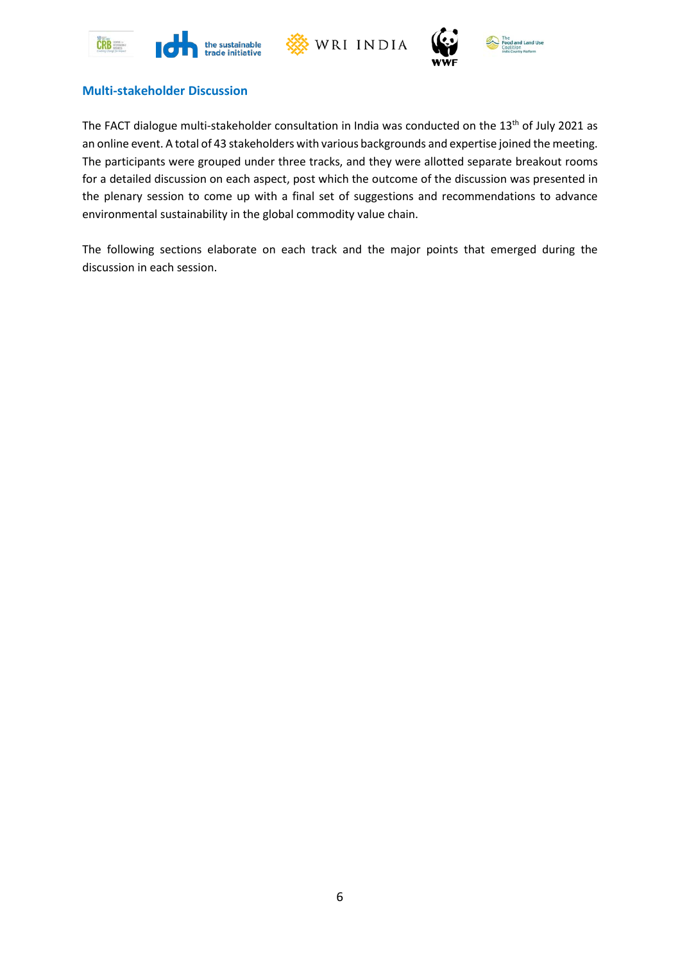





## **Multi-stakeholder Discussion**

The FACT dialogue multi-stakeholder consultation in India was conducted on the 13<sup>th</sup> of July 2021 as an online event. A total of 43 stakeholders with various backgrounds and expertise joined the meeting. The participants were grouped under three tracks, and they were allotted separate breakout rooms for a detailed discussion on each aspect, post which the outcome of the discussion was presented in the plenary session to come up with a final set of suggestions and recommendations to advance environmental sustainability in the global commodity value chain.

The following sections elaborate on each track and the major points that emerged during the discussion in each session.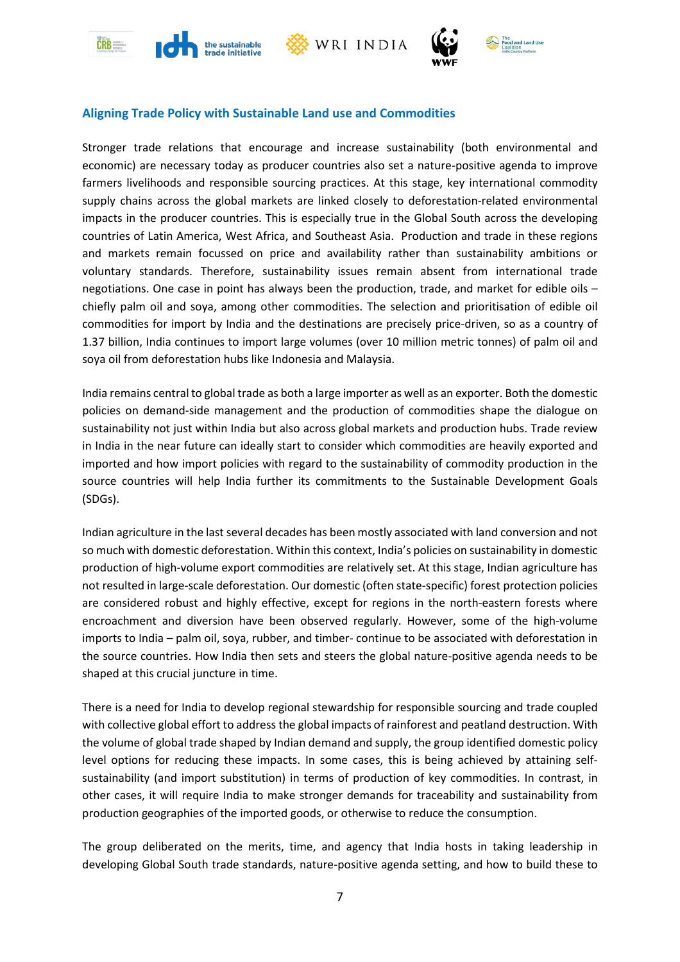







## **Aligning Trade Policy with Sustainable Land use and Commodities**

Stronger trade relations that encourage and increase sustainability (both environmental and economic) are necessary today as producer countries also set a nature-positive agenda to improve farmers livelihoods and responsible sourcing practices. At this stage, key international commodity supply chains across the global markets are linked closely to deforestation-related environmental impacts in the producer countries. This is especially true in the Global South across the developing countries of Latin America, West Africa, and Southeast Asia. Production and trade in these regions and markets remain focussed on price and availability rather than sustainability ambitions or voluntary standards. Therefore, sustainability issues remain absent from international trade negotiations. One case in point has always been the production, trade, and market for edible oils – chiefly palm oil and soya, among other commodities. The selection and prioritisation of edible oil commodities for import by India and the destinations are precisely price-driven, so as a country of 1.37 billion, India continues to import large volumes (over 10 million metric tonnes) of palm oil and soya oil from deforestation hubs like Indonesia and Malaysia.

India remains central to global trade as both a large importer as well as an exporter. Both the domestic policies on demand-side management and the production of commodities shape the dialogue on sustainability not just within India but also across global markets and production hubs. Trade review in India in the near future can ideally start to consider which commodities are heavily exported and imported and how import policies with regard to the sustainability of commodity production in the source countries will help India further its commitments to the Sustainable Development Goals (SDGs).

Indian agriculture in the last several decades has been mostly associated with land conversion and not so much with domestic deforestation. Within this context, India's policies on sustainability in domestic production of high-volume export commodities are relatively set. At this stage, Indian agriculture has not resulted in large-scale deforestation. Our domestic (often state-specific) forest protection policies are considered robust and highly effective, except for regions in the north-eastern forests where encroachment and diversion have been observed regularly. However, some of the high-volume imports to India – palm oil, soya, rubber, and timber- continue to be associated with deforestation in the source countries. How India then sets and steers the global nature-positive agenda needs to be shaped at this crucial juncture in time.

There is a need for India to develop regional stewardship for responsible sourcing and trade coupled with collective global effort to address the global impacts of rainforest and peatland destruction. With the volume of global trade shaped by Indian demand and supply, the group identified domestic policy level options for reducing these impacts. In some cases, this is being achieved by attaining selfsustainability (and import substitution) in terms of production of key commodities. In contrast, in other cases, it will require India to make stronger demands for traceability and sustainability from production geographies of the imported goods, or otherwise to reduce the consumption.

The group deliberated on the merits, time, and agency that India hosts in taking leadership in developing Global South trade standards, nature-positive agenda setting, and how to build these to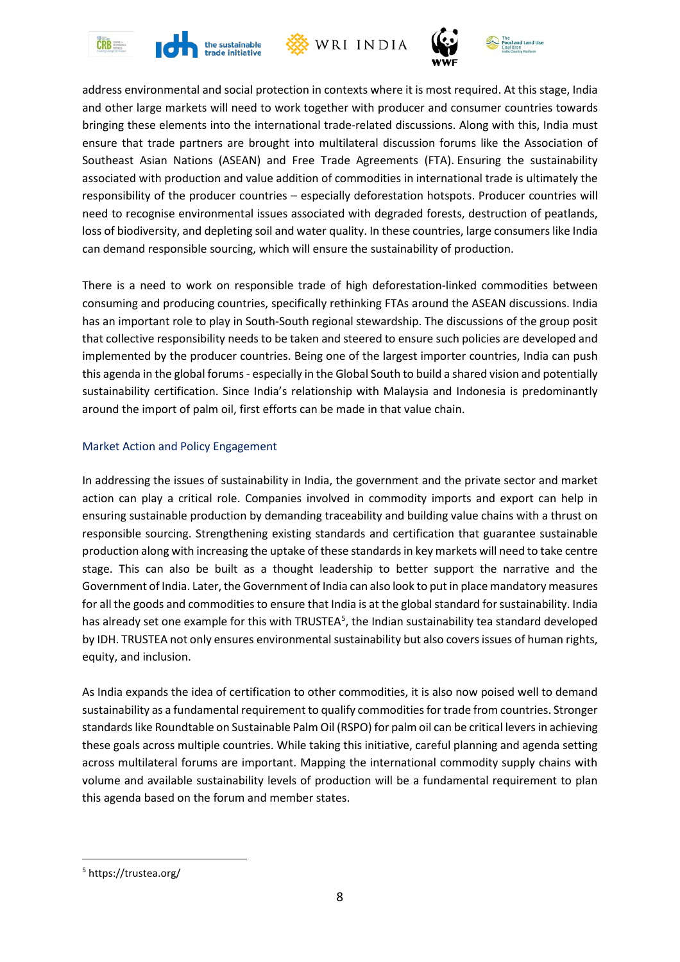







address environmental and social protection in contexts where it is most required. At this stage, India and other large markets will need to work together with producer and consumer countries towards bringing these elements into the international trade-related discussions. Along with this, India must ensure that trade partners are brought into multilateral discussion forums like the Association of Southeast Asian Nations (ASEAN) and Free Trade Agreements (FTA). Ensuring the sustainability associated with production and value addition of commodities in international trade is ultimately the responsibility of the producer countries – especially deforestation hotspots. Producer countries will need to recognise environmental issues associated with degraded forests, destruction of peatlands, loss of biodiversity, and depleting soil and water quality. In these countries, large consumers like India can demand responsible sourcing, which will ensure the sustainability of production.

There is a need to work on responsible trade of high deforestation-linked commodities between consuming and producing countries, specifically rethinking FTAs around the ASEAN discussions. India has an important role to play in South-South regional stewardship. The discussions of the group posit that collective responsibility needs to be taken and steered to ensure such policies are developed and implemented by the producer countries. Being one of the largest importer countries, India can push this agenda in the global forums - especially in the Global South to build a shared vision and potentially sustainability certification. Since India's relationship with Malaysia and Indonesia is predominantly around the import of palm oil, first efforts can be made in that value chain.

## Market Action and Policy Engagement

In addressing the issues of sustainability in India, the government and the private sector and market action can play a critical role. Companies involved in commodity imports and export can help in ensuring sustainable production by demanding traceability and building value chains with a thrust on responsible sourcing. Strengthening existing standards and certification that guarantee sustainable production along with increasing the uptake of these standards in key markets will need to take centre stage. This can also be built as a thought leadership to better support the narrative and the Government of India. Later, the Government of India can also look to put in place mandatory measures for all the goods and commodities to ensure that India is at the global standard for sustainability. India has already set one example for this with TRUSTEA<sup>[5](#page-8-0)</sup>, the Indian sustainability tea standard developed by IDH. TRUSTEA not only ensures environmental sustainability but also covers issues of human rights, equity, and inclusion.

As India expands the idea of certification to other commodities, it is also now poised well to demand sustainability as a fundamental requirement to qualify commodities for trade from countries. Stronger standards like Roundtable on Sustainable Palm Oil (RSPO) for palm oil can be critical levers in achieving these goals across multiple countries. While taking this initiative, careful planning and agenda setting across multilateral forums are important. Mapping the international commodity supply chains with volume and available sustainability levels of production will be a fundamental requirement to plan this agenda based on the forum and member states.

<span id="page-8-0"></span><sup>5</sup> https://trustea.org/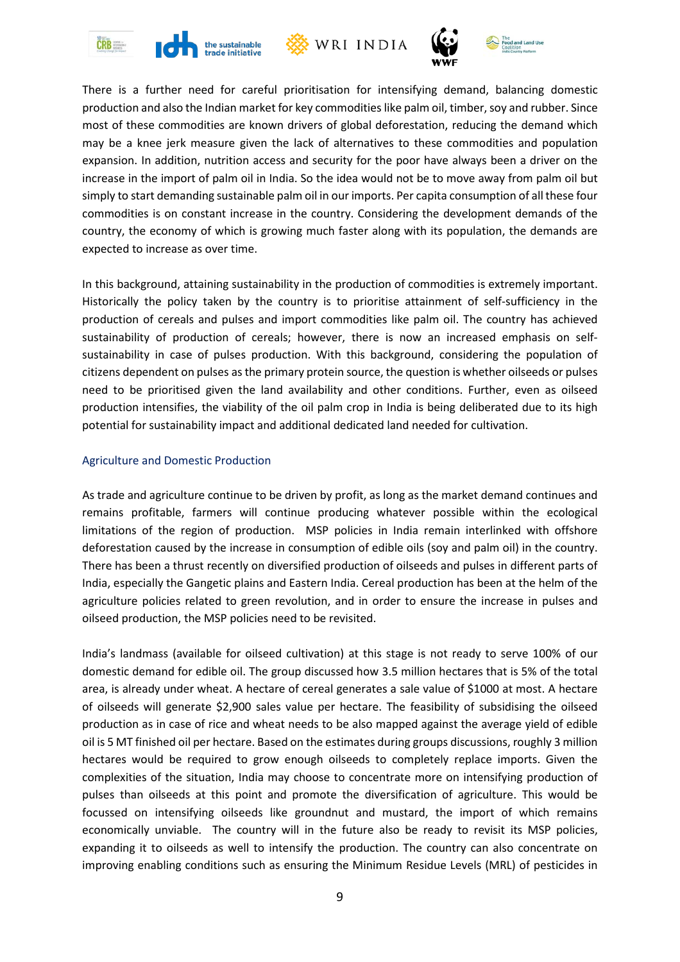







There is a further need for careful prioritisation for intensifying demand, balancing domestic production and also the Indian market for key commodities like palm oil, timber, soy and rubber. Since most of these commodities are known drivers of global deforestation, reducing the demand which may be a knee jerk measure given the lack of alternatives to these commodities and population expansion. In addition, nutrition access and security for the poor have always been a driver on the increase in the import of palm oil in India. So the idea would not be to move away from palm oil but simply to start demanding sustainable palm oil in our imports. Per capita consumption of all these four commodities is on constant increase in the country. Considering the development demands of the country, the economy of which is growing much faster along with its population, the demands are expected to increase as over time.

In this background, attaining sustainability in the production of commodities is extremely important. Historically the policy taken by the country is to prioritise attainment of self-sufficiency in the production of cereals and pulses and import commodities like palm oil. The country has achieved sustainability of production of cereals; however, there is now an increased emphasis on selfsustainability in case of pulses production. With this background, considering the population of citizens dependent on pulses as the primary protein source, the question is whether oilseeds or pulses need to be prioritised given the land availability and other conditions. Further, even as oilseed production intensifies, the viability of the oil palm crop in India is being deliberated due to its high potential for sustainability impact and additional dedicated land needed for cultivation.

#### Agriculture and Domestic Production

As trade and agriculture continue to be driven by profit, as long as the market demand continues and remains profitable, farmers will continue producing whatever possible within the ecological limitations of the region of production. MSP policies in India remain interlinked with offshore deforestation caused by the increase in consumption of edible oils (soy and palm oil) in the country. There has been a thrust recently on diversified production of oilseeds and pulses in different parts of India, especially the Gangetic plains and Eastern India. Cereal production has been at the helm of the agriculture policies related to green revolution, and in order to ensure the increase in pulses and oilseed production, the MSP policies need to be revisited.

India's landmass (available for oilseed cultivation) at this stage is not ready to serve 100% of our domestic demand for edible oil. The group discussed how 3.5 million hectares that is 5% of the total area, is already under wheat. A hectare of cereal generates a sale value of \$1000 at most. A hectare of oilseeds will generate \$2,900 sales value per hectare. The feasibility of subsidising the oilseed production as in case of rice and wheat needs to be also mapped against the average yield of edible oil is 5 MT finished oil per hectare. Based on the estimates during groups discussions, roughly 3 million hectares would be required to grow enough oilseeds to completely replace imports. Given the complexities of the situation, India may choose to concentrate more on intensifying production of pulses than oilseeds at this point and promote the diversification of agriculture. This would be focussed on intensifying oilseeds like groundnut and mustard, the import of which remains economically unviable. The country will in the future also be ready to revisit its MSP policies, expanding it to oilseeds as well to intensify the production. The country can also concentrate on improving enabling conditions such as ensuring the Minimum Residue Levels (MRL) of pesticides in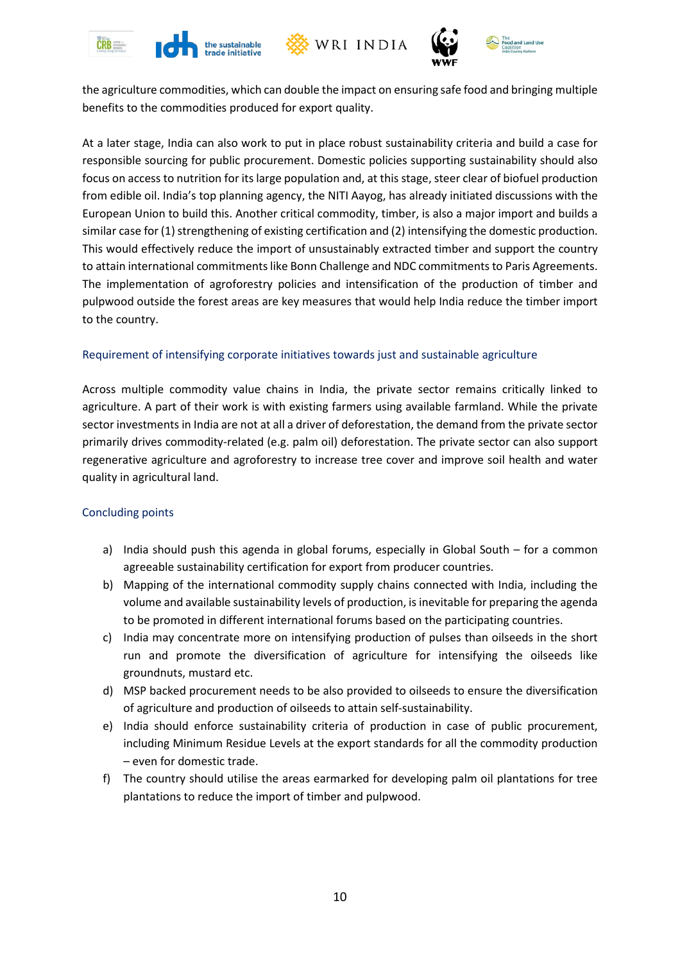







the agriculture commodities, which can double the impact on ensuring safe food and bringing multiple benefits to the commodities produced for export quality.

At a later stage, India can also work to put in place robust sustainability criteria and build a case for responsible sourcing for public procurement. Domestic policies supporting sustainability should also focus on access to nutrition for its large population and, at this stage, steer clear of biofuel production from edible oil. India's top planning agency, the NITI Aayog, has already initiated discussions with the European Union to build this. Another critical commodity, timber, is also a major import and builds a similar case for (1) strengthening of existing certification and (2) intensifying the domestic production. This would effectively reduce the import of unsustainably extracted timber and support the country to attain international commitments like Bonn Challenge and NDC commitments to Paris Agreements. The implementation of agroforestry policies and intensification of the production of timber and pulpwood outside the forest areas are key measures that would help India reduce the timber import to the country.

## Requirement of intensifying corporate initiatives towards just and sustainable agriculture

Across multiple commodity value chains in India, the private sector remains critically linked to agriculture. A part of their work is with existing farmers using available farmland. While the private sector investments in India are not at all a driver of deforestation, the demand from the private sector primarily drives commodity-related (e.g. palm oil) deforestation. The private sector can also support regenerative agriculture and agroforestry to increase tree cover and improve soil health and water quality in agricultural land.

#### Concluding points

- a) India should push this agenda in global forums, especially in Global South for a common agreeable sustainability certification for export from producer countries.
- b) Mapping of the international commodity supply chains connected with India, including the volume and available sustainability levels of production, is inevitable for preparing the agenda to be promoted in different international forums based on the participating countries.
- c) India may concentrate more on intensifying production of pulses than oilseeds in the short run and promote the diversification of agriculture for intensifying the oilseeds like groundnuts, mustard etc.
- d) MSP backed procurement needs to be also provided to oilseeds to ensure the diversification of agriculture and production of oilseeds to attain self-sustainability.
- e) India should enforce sustainability criteria of production in case of public procurement, including Minimum Residue Levels at the export standards for all the commodity production – even for domestic trade.
- f) The country should utilise the areas earmarked for developing palm oil plantations for tree plantations to reduce the import of timber and pulpwood.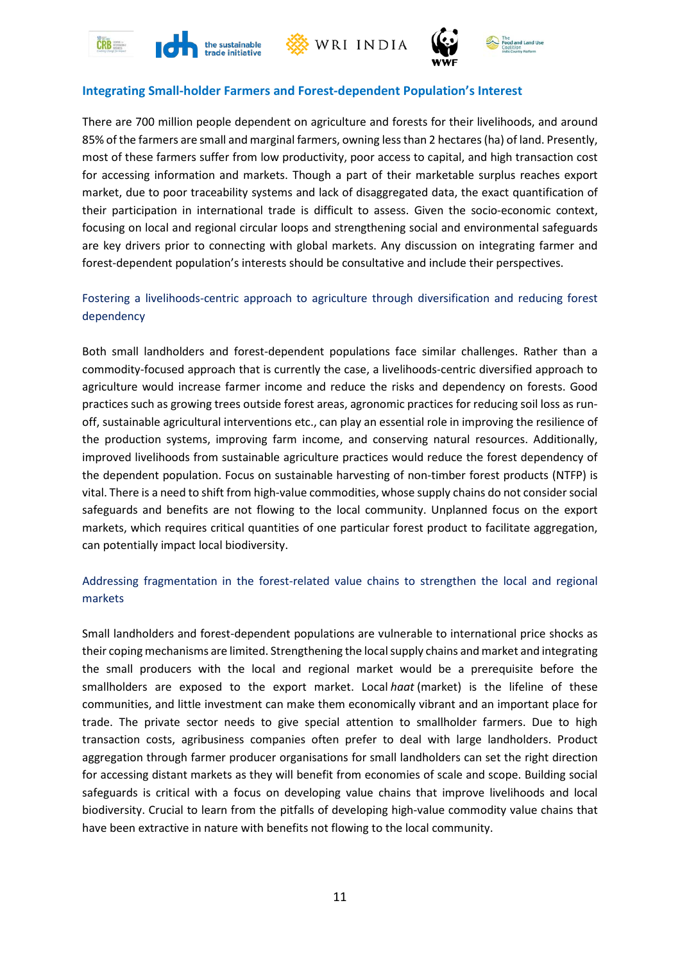







## **Integrating Small-holder Farmers and Forest-dependent Population's Interest**

There are 700 million people dependent on agriculture and forests for their livelihoods, and around 85% of the farmers are small and marginal farmers, owning less than 2 hectares (ha) of land. Presently, most of these farmers suffer from low productivity, poor access to capital, and high transaction cost for accessing information and markets. Though a part of their marketable surplus reaches export market, due to poor traceability systems and lack of disaggregated data, the exact quantification of their participation in international trade is difficult to assess. Given the socio-economic context, focusing on local and regional circular loops and strengthening social and environmental safeguards are key drivers prior to connecting with global markets. Any discussion on integrating farmer and forest-dependent population's interests should be consultative and include their perspectives.

# Fostering a livelihoods-centric approach to agriculture through diversification and reducing forest dependency

Both small landholders and forest-dependent populations face similar challenges. Rather than a commodity-focused approach that is currently the case, a livelihoods-centric diversified approach to agriculture would increase farmer income and reduce the risks and dependency on forests. Good practices such as growing trees outside forest areas, agronomic practices for reducing soil loss as runoff, sustainable agricultural interventions etc., can play an essential role in improving the resilience of the production systems, improving farm income, and conserving natural resources. Additionally, improved livelihoods from sustainable agriculture practices would reduce the forest dependency of the dependent population. Focus on sustainable harvesting of non-timber forest products (NTFP) is vital. There is a need to shift from high-value commodities, whose supply chains do not consider social safeguards and benefits are not flowing to the local community. Unplanned focus on the export markets, which requires critical quantities of one particular forest product to facilitate aggregation, can potentially impact local biodiversity.

# Addressing fragmentation in the forest-related value chains to strengthen the local and regional markets

Small landholders and forest-dependent populations are vulnerable to international price shocks as their coping mechanisms are limited. Strengthening the local supply chains and market and integrating the small producers with the local and regional market would be a prerequisite before the smallholders are exposed to the export market. Local *haat* (market) is the lifeline of these communities, and little investment can make them economically vibrant and an important place for trade. The private sector needs to give special attention to smallholder farmers. Due to high transaction costs, agribusiness companies often prefer to deal with large landholders. Product aggregation through farmer producer organisations for small landholders can set the right direction for accessing distant markets as they will benefit from economies of scale and scope. Building social safeguards is critical with a focus on developing value chains that improve livelihoods and local biodiversity. Crucial to learn from the pitfalls of developing high-value commodity value chains that have been extractive in nature with benefits not flowing to the local community.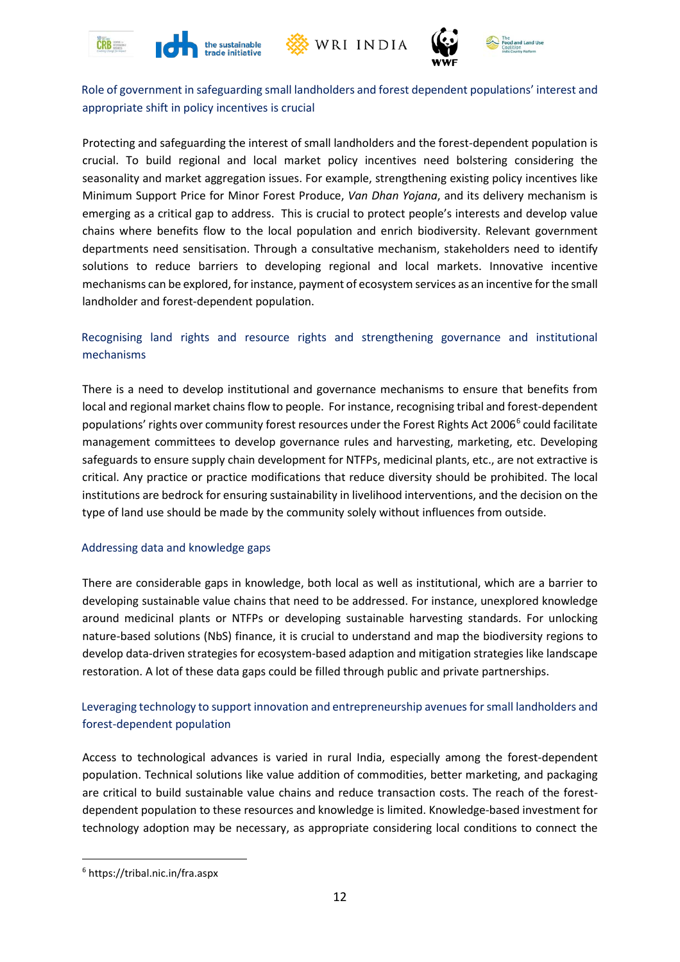







Role of government in safeguarding small landholders and forest dependent populations' interest and appropriate shift in policy incentives is crucial

Protecting and safeguarding the interest of small landholders and the forest-dependent population is crucial. To build regional and local market policy incentives need bolstering considering the seasonality and market aggregation issues. For example, strengthening existing policy incentives like Minimum Support Price for Minor Forest Produce, *Van Dhan Yojana*, and its delivery mechanism is emerging as a critical gap to address. This is crucial to protect people's interests and develop value chains where benefits flow to the local population and enrich biodiversity. Relevant government departments need sensitisation. Through a consultative mechanism, stakeholders need to identify solutions to reduce barriers to developing regional and local markets. Innovative incentive mechanisms can be explored, for instance, payment of ecosystem services as an incentive for the small landholder and forest-dependent population.

## Recognising land rights and resource rights and strengthening governance and institutional mechanisms

There is a need to develop institutional and governance mechanisms to ensure that benefits from local and regional market chains flow to people. For instance, recognising tribal and forest-dependent populations' rights over community forest resources under the Forest Rights Act 200[6](#page-12-0)<sup>6</sup> could facilitate management committees to develop governance rules and harvesting, marketing, etc. Developing safeguards to ensure supply chain development for NTFPs, medicinal plants, etc., are not extractive is critical. Any practice or practice modifications that reduce diversity should be prohibited. The local institutions are bedrock for ensuring sustainability in livelihood interventions, and the decision on the type of land use should be made by the community solely without influences from outside.

## Addressing data and knowledge gaps

There are considerable gaps in knowledge, both local as well as institutional, which are a barrier to developing sustainable value chains that need to be addressed. For instance, unexplored knowledge around medicinal plants or NTFPs or developing sustainable harvesting standards. For unlocking nature-based solutions (NbS) finance, it is crucial to understand and map the biodiversity regions to develop data-driven strategies for ecosystem-based adaption and mitigation strategies like landscape restoration. A lot of these data gaps could be filled through public and private partnerships.

# Leveraging technology to support innovation and entrepreneurship avenues for small landholders and forest-dependent population

Access to technological advances is varied in rural India, especially among the forest-dependent population. Technical solutions like value addition of commodities, better marketing, and packaging are critical to build sustainable value chains and reduce transaction costs. The reach of the forestdependent population to these resources and knowledge is limited. Knowledge-based investment for technology adoption may be necessary, as appropriate considering local conditions to connect the

<span id="page-12-0"></span><sup>6</sup> https://tribal.nic.in/fra.aspx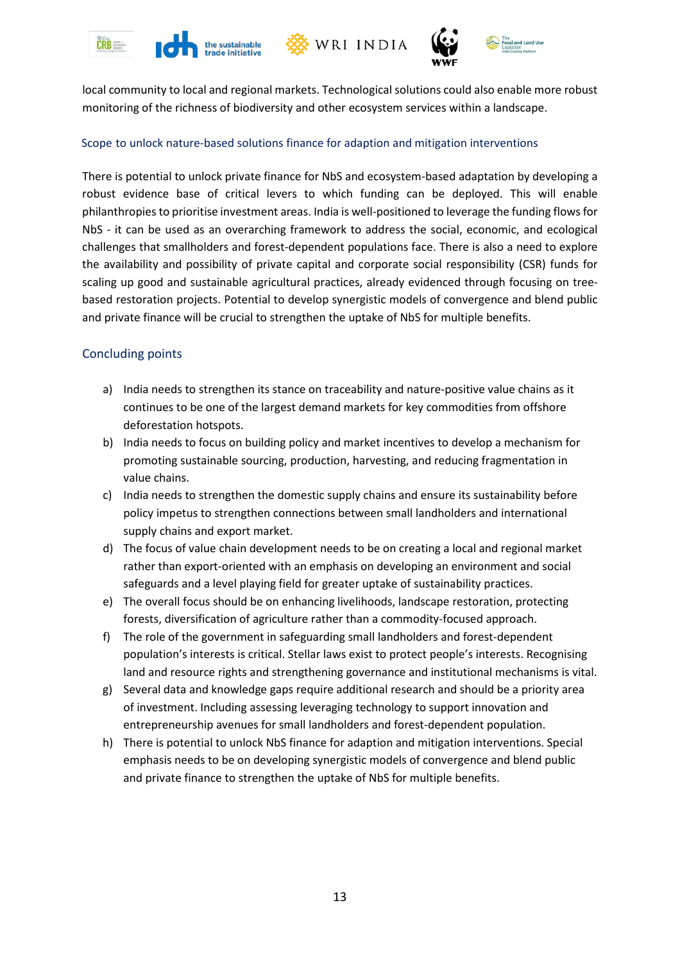







local community to local and regional markets. Technological solutions could also enable more robust monitoring of the richness of biodiversity and other ecosystem services within a landscape.

#### Scope to unlock nature-based solutions finance for adaption and mitigation interventions

There is potential to unlock private finance for NbS and ecosystem-based adaptation by developing a robust evidence base of critical levers to which funding can be deployed. This will enable philanthropies to prioritise investment areas. India is well-positioned to leverage the funding flows for NbS - it can be used as an overarching framework to address the social, economic, and ecological challenges that smallholders and forest-dependent populations face. There is also a need to explore the availability and possibility of private capital and corporate social responsibility (CSR) funds for scaling up good and sustainable agricultural practices, already evidenced through focusing on treebased restoration projects. Potential to develop synergistic models of convergence and blend public and private finance will be crucial to strengthen the uptake of NbS for multiple benefits.

## Concluding points

- a) India needs to strengthen its stance on traceability and nature-positive value chains as it continues to be one of the largest demand markets for key commodities from offshore deforestation hotspots.
- b) India needs to focus on building policy and market incentives to develop a mechanism for promoting sustainable sourcing, production, harvesting, and reducing fragmentation in value chains.
- c) India needs to strengthen the domestic supply chains and ensure its sustainability before policy impetus to strengthen connections between small landholders and international supply chains and export market.
- d) The focus of value chain development needs to be on creating a local and regional market rather than export-oriented with an emphasis on developing an environment and social safeguards and a level playing field for greater uptake of sustainability practices.
- e) The overall focus should be on enhancing livelihoods, landscape restoration, protecting forests, diversification of agriculture rather than a commodity-focused approach.
- f) The role of the government in safeguarding small landholders and forest-dependent population's interests is critical. Stellar laws exist to protect people's interests. Recognising land and resource rights and strengthening governance and institutional mechanisms is vital.
- g) Several data and knowledge gaps require additional research and should be a priority area of investment. Including assessing leveraging technology to support innovation and entrepreneurship avenues for small landholders and forest-dependent population.
- h) There is potential to unlock NbS finance for adaption and mitigation interventions. Special emphasis needs to be on developing synergistic models of convergence and blend public and private finance to strengthen the uptake of NbS for multiple benefits.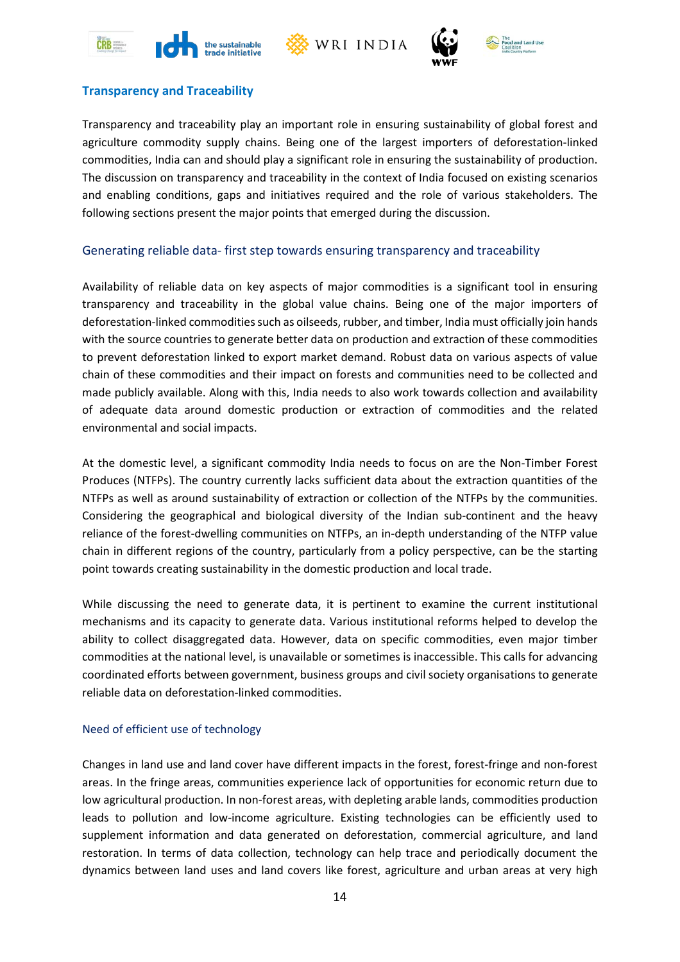





# **Transparency and Traceability**

Transparency and traceability play an important role in ensuring sustainability of global forest and agriculture commodity supply chains. Being one of the largest importers of deforestation-linked commodities, India can and should play a significant role in ensuring the sustainability of production. The discussion on transparency and traceability in the context of India focused on existing scenarios and enabling conditions, gaps and initiatives required and the role of various stakeholders. The following sections present the major points that emerged during the discussion.

#### Generating reliable data- first step towards ensuring transparency and traceability

Availability of reliable data on key aspects of major commodities is a significant tool in ensuring transparency and traceability in the global value chains. Being one of the major importers of deforestation-linked commodities such as oilseeds, rubber, and timber, India must officially join hands with the source countries to generate better data on production and extraction of these commodities to prevent deforestation linked to export market demand. Robust data on various aspects of value chain of these commodities and their impact on forests and communities need to be collected and made publicly available. Along with this, India needs to also work towards collection and availability of adequate data around domestic production or extraction of commodities and the related environmental and social impacts.

At the domestic level, a significant commodity India needs to focus on are the Non-Timber Forest Produces (NTFPs). The country currently lacks sufficient data about the extraction quantities of the NTFPs as well as around sustainability of extraction or collection of the NTFPs by the communities. Considering the geographical and biological diversity of the Indian sub-continent and the heavy reliance of the forest-dwelling communities on NTFPs, an in-depth understanding of the NTFP value chain in different regions of the country, particularly from a policy perspective, can be the starting point towards creating sustainability in the domestic production and local trade.

While discussing the need to generate data, it is pertinent to examine the current institutional mechanisms and its capacity to generate data. Various institutional reforms helped to develop the ability to collect disaggregated data. However, data on specific commodities, even major timber commodities at the national level, is unavailable or sometimes is inaccessible. This calls for advancing coordinated efforts between government, business groups and civil society organisations to generate reliable data on deforestation-linked commodities.

#### Need of efficient use of technology

Changes in land use and land cover have different impacts in the forest, forest-fringe and non-forest areas. In the fringe areas, communities experience lack of opportunities for economic return due to low agricultural production. In non-forest areas, with depleting arable lands, commodities production leads to pollution and low-income agriculture. Existing technologies can be efficiently used to supplement information and data generated on deforestation, commercial agriculture, and land restoration. In terms of data collection, technology can help trace and periodically document the dynamics between land uses and land covers like forest, agriculture and urban areas at very high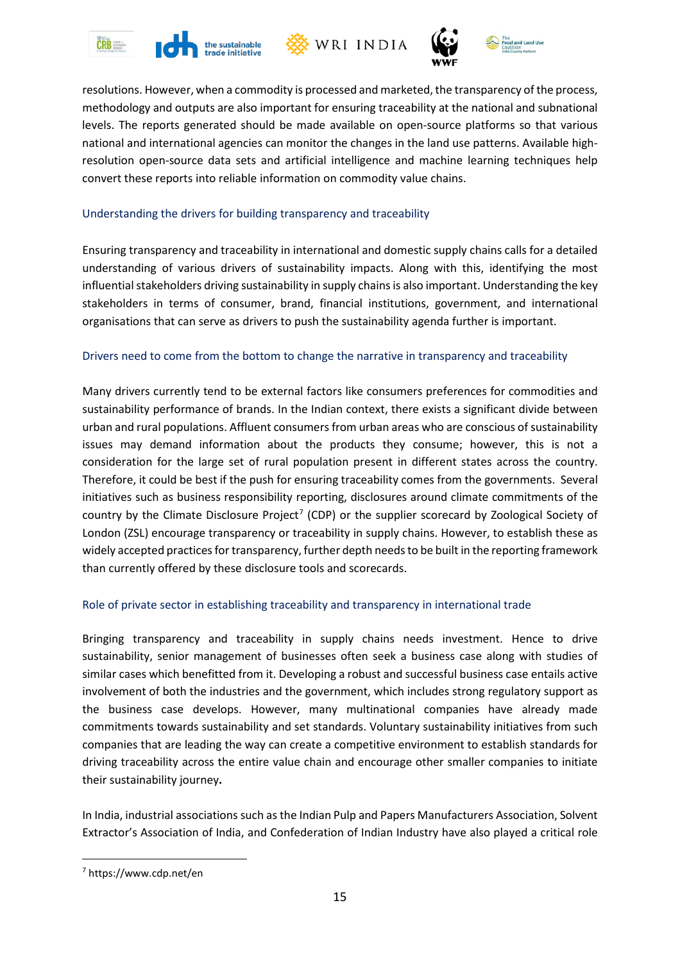







resolutions. However, when a commodity is processed and marketed, the transparency of the process, methodology and outputs are also important for ensuring traceability at the national and subnational levels. The reports generated should be made available on open-source platforms so that various national and international agencies can monitor the changes in the land use patterns. Available highresolution open-source data sets and artificial intelligence and machine learning techniques help convert these reports into reliable information on commodity value chains.

#### Understanding the drivers for building transparency and traceability

Ensuring transparency and traceability in international and domestic supply chains calls for a detailed understanding of various drivers of sustainability impacts. Along with this, identifying the most influential stakeholders driving sustainability in supply chainsis also important. Understanding the key stakeholders in terms of consumer, brand, financial institutions, government, and international organisations that can serve as drivers to push the sustainability agenda further is important.

#### Drivers need to come from the bottom to change the narrative in transparency and traceability

Many drivers currently tend to be external factors like consumers preferences for commodities and sustainability performance of brands. In the Indian context, there exists a significant divide between urban and rural populations. Affluent consumers from urban areas who are conscious of sustainability issues may demand information about the products they consume; however, this is not a consideration for the large set of rural population present in different states across the country. Therefore, it could be best if the push for ensuring traceability comes from the governments. Several initiatives such as business responsibility reporting, disclosures around climate commitments of the country by the Climate Disclosure Project<sup>[7](#page-15-0)</sup> (CDP) or the supplier scorecard by Zoological Society of London (ZSL) encourage transparency or traceability in supply chains. However, to establish these as widely accepted practices for transparency, further depth needs to be built in the reporting framework than currently offered by these disclosure tools and scorecards.

## Role of private sector in establishing traceability and transparency in international trade

Bringing transparency and traceability in supply chains needs investment. Hence to drive sustainability, senior management of businesses often seek a business case along with studies of similar cases which benefitted from it. Developing a robust and successful business case entails active involvement of both the industries and the government, which includes strong regulatory support as the business case develops. However, many multinational companies have already made commitments towards sustainability and set standards. Voluntary sustainability initiatives from such companies that are leading the way can create a competitive environment to establish standards for driving traceability across the entire value chain and encourage other smaller companies to initiate their sustainability journey**.**

In India, industrial associations such as the Indian Pulp and Papers Manufacturers Association, Solvent Extractor's Association of India, and Confederation of Indian Industry have also played a critical role

<span id="page-15-0"></span><sup>7</sup> https://www.cdp.net/en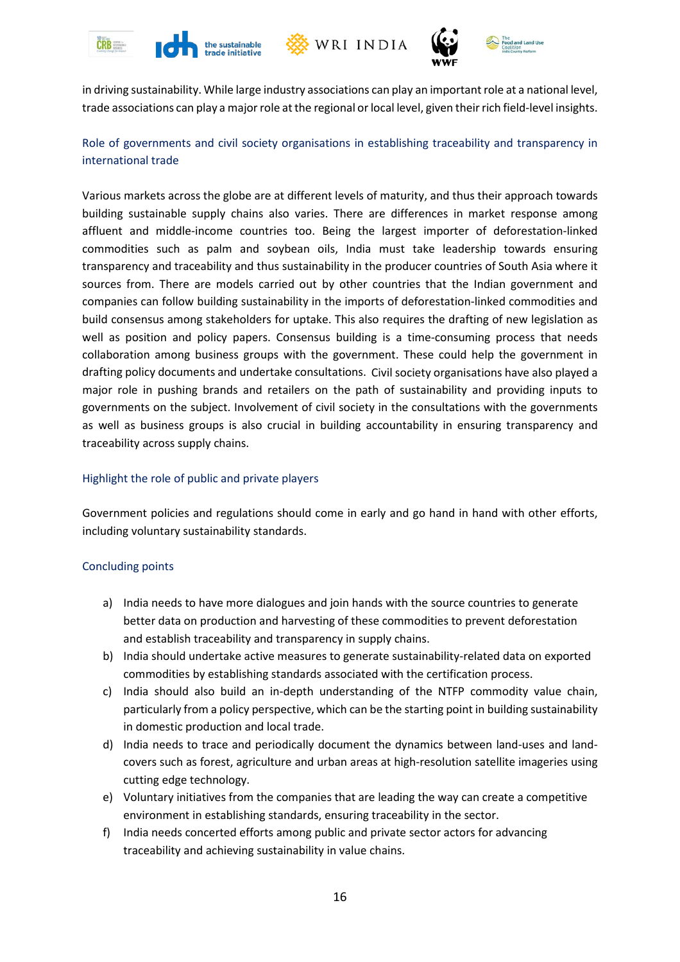







in driving sustainability. While large industry associations can play an important role at a national level, trade associations can play a major role at the regional or local level, given theirrich field-level insights.

# Role of governments and civil society organisations in establishing traceability and transparency in international trade

Various markets across the globe are at different levels of maturity, and thus their approach towards building sustainable supply chains also varies. There are differences in market response among affluent and middle-income countries too. Being the largest importer of deforestation-linked commodities such as palm and soybean oils, India must take leadership towards ensuring transparency and traceability and thus sustainability in the producer countries of South Asia where it sources from. There are models carried out by other countries that the Indian government and companies can follow building sustainability in the imports of deforestation-linked commodities and build consensus among stakeholders for uptake. This also requires the drafting of new legislation as well as position and policy papers. Consensus building is a time-consuming process that needs collaboration among business groups with the government. These could help the government in drafting policy documents and undertake consultations. Civil society organisations have also played a major role in pushing brands and retailers on the path of sustainability and providing inputs to governments on the subject. Involvement of civil society in the consultations with the governments as well as business groups is also crucial in building accountability in ensuring transparency and traceability across supply chains.

## Highlight the role of public and private players

Government policies and regulations should come in early and go hand in hand with other efforts, including voluntary sustainability standards.

#### <span id="page-16-0"></span>Concluding points

- a) India needs to have more dialogues and join hands with the source countries to generate better data on production and harvesting of these commodities to prevent deforestation and establish traceability and transparency in supply chains.
- b) India should undertake active measures to generate sustainability-related data on exported commodities by establishing standards associated with the certification process.
- c) India should also build an in-depth understanding of the NTFP commodity value chain, particularly from a policy perspective, which can be the starting point in building sustainability in domestic production and local trade.
- d) India needs to trace and periodically document the dynamics between land-uses and landcovers such as forest, agriculture and urban areas at high-resolution satellite imageries using cutting edge technology.
- e) Voluntary initiatives from the companies that are leading the way can create a competitive environment in establishing standards, ensuring traceability in the sector.
- f) India needs concerted efforts among public and private sector actors for advancing traceability and achieving sustainability in value chains.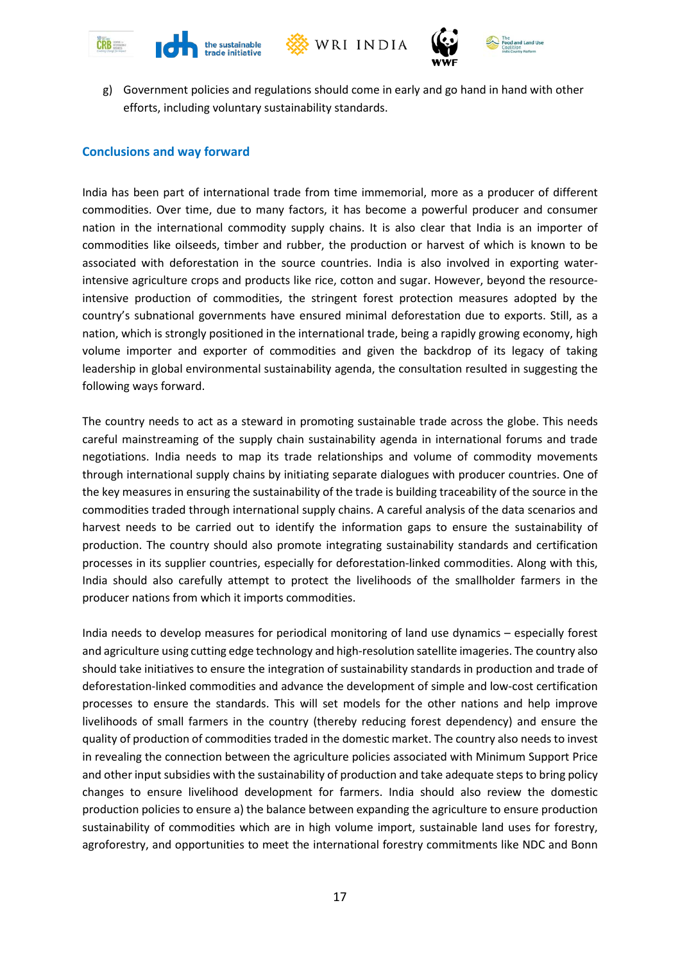







g) Government policies and regulations should come in early and go hand in hand with other efforts, including voluntary sustainability standards.

#### **Conclusions and way forward**

India has been part of international trade from time immemorial, more as a producer of different commodities. Over time, due to many factors, it has become a powerful producer and consumer nation in the international commodity supply chains. It is also clear that India is an importer of commodities like oilseeds, timber and rubber, the production or harvest of which is known to be associated with deforestation in the source countries. India is also involved in exporting waterintensive agriculture crops and products like rice, cotton and sugar. However, beyond the resourceintensive production of commodities, the stringent forest protection measures adopted by the country's subnational governments have ensured minimal deforestation due to exports. Still, as a nation, which is strongly positioned in the international trade, being a rapidly growing economy, high volume importer and exporter of commodities and given the backdrop of its legacy of taking leadership in global environmental sustainability agenda, the consultation resulted in suggesting the following ways forward.

The country needs to act as a steward in promoting sustainable trade across the globe. This needs careful mainstreaming of the supply chain sustainability agenda in international forums and trade negotiations. India needs to map its trade relationships and volume of commodity movements through international supply chains by initiating separate dialogues with producer countries. One of the key measures in ensuring the sustainability of the trade is building traceability of the source in the commodities traded through international supply chains. A careful analysis of the data scenarios and harvest needs to be carried out to identify the information gaps to ensure the sustainability of production. The country should also promote integrating sustainability standards and certification processes in its supplier countries, especially for deforestation-linked commodities. Along with this, India should also carefully attempt to protect the livelihoods of the smallholder farmers in the producer nations from which it imports commodities.

India needs to develop measures for periodical monitoring of land use dynamics – especially forest and agriculture using cutting edge technology and high-resolution satellite imageries. The country also should take initiatives to ensure the integration of sustainability standards in production and trade of deforestation-linked commodities and advance the development of simple and low-cost certification processes to ensure the standards. This will set models for the other nations and help improve livelihoods of small farmers in the country (thereby reducing forest dependency) and ensure the quality of production of commodities traded in the domestic market. The country also needs to invest in revealing the connection between the agriculture policies associated with Minimum Support Price and other input subsidies with the sustainability of production and take adequate steps to bring policy changes to ensure livelihood development for farmers. India should also review the domestic production policies to ensure a) the balance between expanding the agriculture to ensure production sustainability of commodities which are in high volume import, sustainable land uses for forestry, agroforestry, and opportunities to meet the international forestry commitments like NDC and Bonn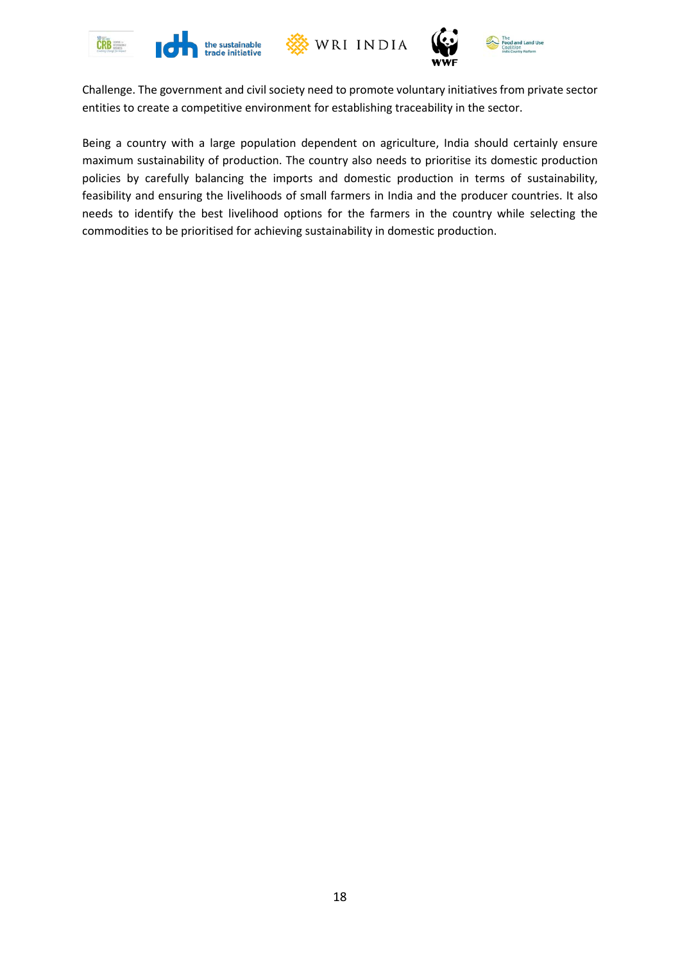







Challenge. The government and civil society need to promote voluntary initiatives from private sector entities to create a competitive environment for establishing traceability in the sector.

Being a country with a large population dependent on agriculture, India should certainly ensure maximum sustainability of production. The country also needs to prioritise its domestic production policies by carefully balancing the imports and domestic production in terms of sustainability, feasibility and ensuring the livelihoods of small farmers in India and the producer countries. It also needs to identify the best livelihood options for the farmers in the country while selecting the commodities to be prioritised for achieving sustainability in domestic production.